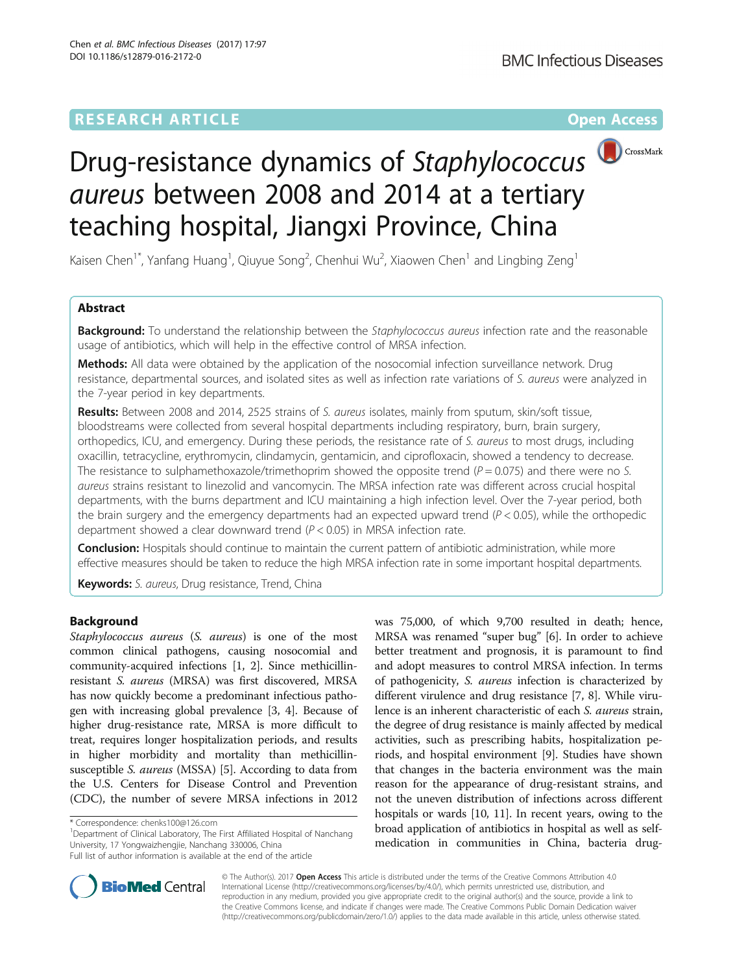# **RESEARCH ARTICLE Example 2018 12:00 Department of the CONNECTION CONNECTION CONNECTION CONNECTION**



# Drug-resistance dynamics of Staphylococcus<sup>(D CrossMark</sup> aureus between 2008 and 2014 at a tertiary teaching hospital, Jiangxi Province, China

Kaisen Chen<sup>1\*</sup>, Yanfang Huang<sup>1</sup>, Qiuyue Song<sup>2</sup>, Chenhui Wu<sup>2</sup>, Xiaowen Chen<sup>1</sup> and Lingbing Zeng<sup>1</sup>

# Abstract

**Background:** To understand the relationship between the Staphylococcus aureus infection rate and the reasonable usage of antibiotics, which will help in the effective control of MRSA infection.

Methods: All data were obtained by the application of the nosocomial infection surveillance network. Drug resistance, departmental sources, and isolated sites as well as infection rate variations of S. aureus were analyzed in the 7-year period in key departments.

Results: Between 2008 and 2014, 2525 strains of S. aureus isolates, mainly from sputum, skin/soft tissue, bloodstreams were collected from several hospital departments including respiratory, burn, brain surgery, orthopedics, ICU, and emergency. During these periods, the resistance rate of S. aureus to most drugs, including oxacillin, tetracycline, erythromycin, clindamycin, gentamicin, and ciprofloxacin, showed a tendency to decrease. The resistance to sulphamethoxazole/trimethoprim showed the opposite trend ( $P = 0.075$ ) and there were no S. aureus strains resistant to linezolid and vancomycin. The MRSA infection rate was different across crucial hospital departments, with the burns department and ICU maintaining a high infection level. Over the 7-year period, both the brain surgery and the emergency departments had an expected upward trend  $(P < 0.05)$ , while the orthopedic department showed a clear downward trend ( $P < 0.05$ ) in MRSA infection rate.

Conclusion: Hospitals should continue to maintain the current pattern of antibiotic administration, while more effective measures should be taken to reduce the high MRSA infection rate in some important hospital departments.

Keywords: S. aureus, Drug resistance, Trend, China

## Background

Staphylococcus aureus (S. aureus) is one of the most common clinical pathogens, causing nosocomial and community-acquired infections [\[1, 2](#page-7-0)]. Since methicillinresistant S. aureus (MRSA) was first discovered, MRSA has now quickly become a predominant infectious pathogen with increasing global prevalence [[3](#page-7-0), [4\]](#page-7-0). Because of higher drug-resistance rate, MRSA is more difficult to treat, requires longer hospitalization periods, and results in higher morbidity and mortality than methicillin-susceptible S. aureus (MSSA) [[5\]](#page-7-0). According to data from the U.S. Centers for Disease Control and Prevention (CDC), the number of severe MRSA infections in 2012

<sup>1</sup>Department of Clinical Laboratory, The First Affiliated Hospital of Nanchang University, 17 Yongwaizhengjie, Nanchang 330006, China Full list of author information is available at the end of the article

was 75,000, of which 9,700 resulted in death; hence, MRSA was renamed "super bug" [\[6](#page-7-0)]. In order to achieve better treatment and prognosis, it is paramount to find and adopt measures to control MRSA infection. In terms of pathogenicity, S. aureus infection is characterized by different virulence and drug resistance [[7](#page-7-0), [8\]](#page-7-0). While virulence is an inherent characteristic of each S. aureus strain, the degree of drug resistance is mainly affected by medical activities, such as prescribing habits, hospitalization periods, and hospital environment [\[9](#page-7-0)]. Studies have shown that changes in the bacteria environment was the main reason for the appearance of drug-resistant strains, and not the uneven distribution of infections across different hospitals or wards [[10](#page-7-0), [11\]](#page-7-0). In recent years, owing to the broad application of antibiotics in hospital as well as selfmedication in communities in China, bacteria drug-



© The Author(s). 2017 **Open Access** This article is distributed under the terms of the Creative Commons Attribution 4.0 International License [\(http://creativecommons.org/licenses/by/4.0/](http://creativecommons.org/licenses/by/4.0/)), which permits unrestricted use, distribution, and reproduction in any medium, provided you give appropriate credit to the original author(s) and the source, provide a link to the Creative Commons license, and indicate if changes were made. The Creative Commons Public Domain Dedication waiver [\(http://creativecommons.org/publicdomain/zero/1.0/](http://creativecommons.org/publicdomain/zero/1.0/)) applies to the data made available in this article, unless otherwise stated.

<sup>\*</sup> Correspondence: [chenks100@126.com](mailto:chenks100@126.com) <sup>1</sup>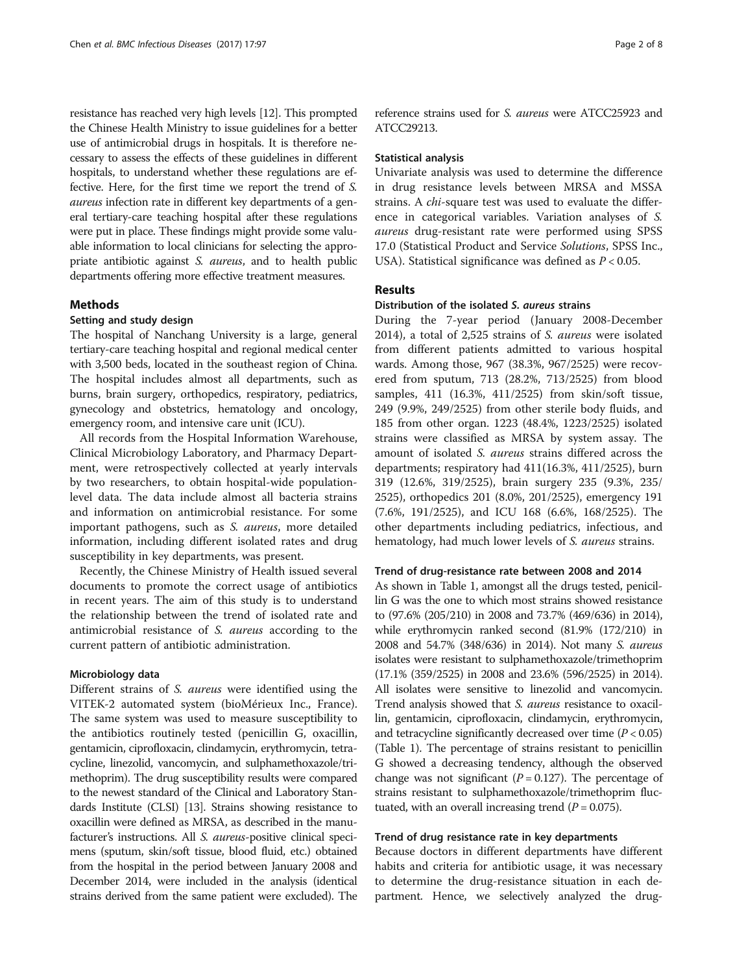resistance has reached very high levels [[12](#page-7-0)]. This prompted the Chinese Health Ministry to issue guidelines for a better use of antimicrobial drugs in hospitals. It is therefore necessary to assess the effects of these guidelines in different hospitals, to understand whether these regulations are effective. Here, for the first time we report the trend of S. aureus infection rate in different key departments of a general tertiary-care teaching hospital after these regulations were put in place. These findings might provide some valuable information to local clinicians for selecting the appropriate antibiotic against S. aureus, and to health public departments offering more effective treatment measures.

### Methods

### Setting and study design

The hospital of Nanchang University is a large, general tertiary-care teaching hospital and regional medical center with 3,500 beds, located in the southeast region of China. The hospital includes almost all departments, such as burns, brain surgery, orthopedics, respiratory, pediatrics, gynecology and obstetrics, hematology and oncology, emergency room, and intensive care unit (ICU).

All records from the Hospital Information Warehouse, Clinical Microbiology Laboratory, and Pharmacy Department, were retrospectively collected at yearly intervals by two researchers, to obtain hospital-wide populationlevel data. The data include almost all bacteria strains and information on antimicrobial resistance. For some important pathogens, such as S. aureus, more detailed information, including different isolated rates and drug susceptibility in key departments, was present.

Recently, the Chinese Ministry of Health issued several documents to promote the correct usage of antibiotics in recent years. The aim of this study is to understand the relationship between the trend of isolated rate and antimicrobial resistance of S. aureus according to the current pattern of antibiotic administration.

### Microbiology data

Different strains of S. aureus were identified using the VITEK-2 automated system (bioMérieux Inc., France). The same system was used to measure susceptibility to the antibiotics routinely tested (penicillin G, oxacillin, gentamicin, ciprofloxacin, clindamycin, erythromycin, tetracycline, linezolid, vancomycin, and sulphamethoxazole/trimethoprim). The drug susceptibility results were compared to the newest standard of the Clinical and Laboratory Standards Institute (CLSI) [[13](#page-7-0)]. Strains showing resistance to oxacillin were defined as MRSA, as described in the manufacturer's instructions. All S. aureus-positive clinical specimens (sputum, skin/soft tissue, blood fluid, etc.) obtained from the hospital in the period between January 2008 and December 2014, were included in the analysis (identical strains derived from the same patient were excluded). The reference strains used for S. aureus were ATCC25923 and ATCC29213.

### Statistical analysis

Univariate analysis was used to determine the difference in drug resistance levels between MRSA and MSSA strains. A chi-square test was used to evaluate the difference in categorical variables. Variation analyses of S. aureus drug-resistant rate were performed using SPSS 17.0 (Statistical Product and Service Solutions, SPSS Inc., USA). Statistical significance was defined as  $P < 0.05$ .

### Results

### Distribution of the isolated S. aureus strains

During the 7-year period (January 2008-December 2014), a total of 2,525 strains of S. aureus were isolated from different patients admitted to various hospital wards. Among those, 967 (38.3%, 967/2525) were recovered from sputum, 713 (28.2%, 713/2525) from blood samples, 411 (16.3%, 411/2525) from skin/soft tissue, 249 (9.9%, 249/2525) from other sterile body fluids, and 185 from other organ. 1223 (48.4%, 1223/2525) isolated strains were classified as MRSA by system assay. The amount of isolated S. aureus strains differed across the departments; respiratory had 411(16.3%, 411/2525), burn 319 (12.6%, 319/2525), brain surgery 235 (9.3%, 235/ 2525), orthopedics 201 (8.0%, 201/2525), emergency 191 (7.6%, 191/2525), and ICU 168 (6.6%, 168/2525). The other departments including pediatrics, infectious, and hematology, had much lower levels of *S. aureus* strains.

### Trend of drug-resistance rate between 2008 and 2014

As shown in Table [1,](#page-2-0) amongst all the drugs tested, penicillin G was the one to which most strains showed resistance to (97.6% (205/210) in 2008 and 73.7% (469/636) in 2014), while erythromycin ranked second (81.9% (172/210) in 2008 and 54.7% (348/636) in 2014). Not many S. aureus isolates were resistant to sulphamethoxazole/trimethoprim (17.1% (359/2525) in 2008 and 23.6% (596/2525) in 2014). All isolates were sensitive to linezolid and vancomycin. Trend analysis showed that S. aureus resistance to oxacillin, gentamicin, ciprofloxacin, clindamycin, erythromycin, and tetracycline significantly decreased over time  $(P < 0.05)$ (Table [1\)](#page-2-0). The percentage of strains resistant to penicillin G showed a decreasing tendency, although the observed change was not significant ( $P = 0.127$ ). The percentage of strains resistant to sulphamethoxazole/trimethoprim fluctuated, with an overall increasing trend  $(P = 0.075)$ .

# Trend of drug resistance rate in key departments

Because doctors in different departments have different habits and criteria for antibiotic usage, it was necessary to determine the drug-resistance situation in each department. Hence, we selectively analyzed the drug-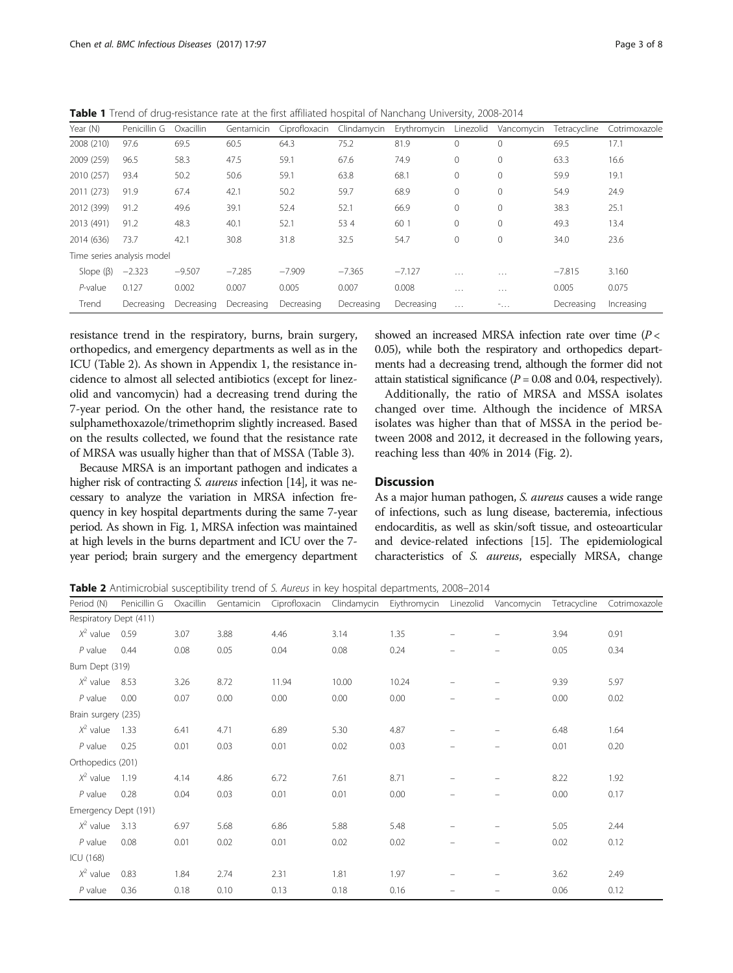<span id="page-2-0"></span>Table 1 Trend of drug-resistance rate at the first affiliated hospital of Nanchang University, 2008-2014

| Year (N)        | Penicillin G               | Oxacillin  | Gentamicin | Ciprofloxacin | Clindamycin | Erythromycin | Linezolid    | Vancomycin   | Tetracycline | Cotrimoxazole |
|-----------------|----------------------------|------------|------------|---------------|-------------|--------------|--------------|--------------|--------------|---------------|
| 2008 (210)      | 97.6                       | 69.5       | 60.5       | 64.3          | 75.2        | 81.9         |              | $\circ$      | 69.5         | 17.1          |
| 2009 (259)      | 96.5                       | 58.3       | 47.5       | 59.1          | 67.6        | 74.9         | $\mathbf{0}$ | $\mathbf{0}$ | 63.3         | 16.6          |
| 2010 (257)      | 93.4                       | 50.2       | 50.6       | 59.1          | 63.8        | 68.1         | 0            | $\mathbf{0}$ | 59.9         | 19.1          |
| 2011 (273)      | 91.9                       | 67.4       | 42.1       | 50.2          | 59.7        | 68.9         | 0            | $\mathbf{0}$ | 54.9         | 24.9          |
| 2012 (399)      | 91.2                       | 49.6       | 39.1       | 52.4          | 52.1        | 66.9         | 0            | $\mathbf{0}$ | 38.3         | 25.1          |
| 2013 (491)      | 91.2                       | 48.3       | 40.1       | 52.1          | 534         | 60 1         |              | 0            | 49.3         | 13.4          |
| 2014 (636)      | 73.7                       | 42.1       | 30.8       | 31.8          | 32.5        | 54.7         |              | $\circ$      | 34.0         | 23.6          |
|                 | Time series analysis model |            |            |               |             |              |              |              |              |               |
| Slope $(\beta)$ | $-2.323$                   | $-9.507$   | $-7.285$   | $-7.909$      | $-7.365$    | $-7.127$     | $\cdots$     | $\cdots$     | $-7.815$     | 3.160         |
| $P$ -value      | 0.127                      | 0.002      | 0.007      | 0.005         | 0.007       | 0.008        | $\cdots$     | $\cdots$     | 0.005        | 0.075         |
| Trend           | Decreasing                 | Decreasing | Decreasing | Decreasing    | Decreasing  | Decreasing   | $\cdots$     | $-0.11$      | Decreasing   | Increasing    |

resistance trend in the respiratory, burns, brain surgery, orthopedics, and emergency departments as well as in the ICU (Table 2). As shown in Appendix 1, the resistance incidence to almost all selected antibiotics (except for linezolid and vancomycin) had a decreasing trend during the 7-year period. On the other hand, the resistance rate to sulphamethoxazole/trimethoprim slightly increased. Based on the results collected, we found that the resistance rate of MRSA was usually higher than that of MSSA (Table [3\)](#page-3-0).

Because MRSA is an important pathogen and indicates a higher risk of contracting *S. aureus* infection [\[14\]](#page-7-0), it was necessary to analyze the variation in MRSA infection frequency in key hospital departments during the same 7-year period. As shown in Fig. [1](#page-4-0), MRSA infection was maintained at high levels in the burns department and ICU over the 7 year period; brain surgery and the emergency department

showed an increased MRSA infection rate over time (P < 0.05), while both the respiratory and orthopedics departments had a decreasing trend, although the former did not attain statistical significance  $(P = 0.08$  and 0.04, respectively).

Additionally, the ratio of MRSA and MSSA isolates changed over time. Although the incidence of MRSA isolates was higher than that of MSSA in the period between 2008 and 2012, it decreased in the following years, reaching less than 40% in 2014 (Fig. [2\)](#page-4-0).

### **Discussion**

As a major human pathogen, S. aureus causes a wide range of infections, such as lung disease, bacteremia, infectious endocarditis, as well as skin/soft tissue, and osteoarticular and device-related infections [\[15\]](#page-7-0). The epidemiological characteristics of S. aureus, especially MRSA, change

**Table 2** Antimicrobial susceptibility trend of S. Aureus in key hospital departments, 2008–2014

| Period (N)             | Penicillin G | Oxacillin | Gentamicin | Ciprofloxacin |       | Clindamycin Eiythromycin | Linezolid         | Vancomycin | Tetracycline | Cotrimoxazole |
|------------------------|--------------|-----------|------------|---------------|-------|--------------------------|-------------------|------------|--------------|---------------|
| Respiratory Dept (411) |              |           |            |               |       |                          |                   |            |              |               |
| $X^2$ value            | 0.59         | 3.07      | 3.88       | 4.46          | 3.14  | 1.35                     | $\qquad \qquad -$ |            | 3.94         | 0.91          |
| $P$ value              | 0.44         | 0.08      | 0.05       | 0.04          | 0.08  | 0.24                     | $\qquad \qquad -$ |            | 0.05         | 0.34          |
| Bum Dept (319)         |              |           |            |               |       |                          |                   |            |              |               |
| $X^2$ value            | 8.53         | 3.26      | 8.72       | 11.94         | 10.00 | 10.24                    |                   |            | 9.39         | 5.97          |
| $P$ value              | 0.00         | 0.07      | 0.00       | 0.00          | 0.00  | 0.00                     |                   |            | 0.00         | 0.02          |
| Brain surgery (235)    |              |           |            |               |       |                          |                   |            |              |               |
| $X^2$ value            | 1.33         | 6.41      | 4.71       | 6.89          | 5.30  | 4.87                     |                   |            | 6.48         | 1.64          |
| $P$ value              | 0.25         | 0.01      | 0.03       | 0.01          | 0.02  | 0.03                     |                   |            | 0.01         | 0.20          |
| Orthopedics (201)      |              |           |            |               |       |                          |                   |            |              |               |
| $X^2$ value            | 1.19         | 4.14      | 4.86       | 6.72          | 7.61  | 8.71                     |                   |            | 8.22         | 1.92          |
| $P$ value              | 0.28         | 0.04      | 0.03       | 0.01          | 0.01  | 0.00                     |                   |            | 0.00         | 0.17          |
| Emergency Dept (191)   |              |           |            |               |       |                          |                   |            |              |               |
| $X^2$ value            | 3.13         | 6.97      | 5.68       | 6.86          | 5.88  | 5.48                     | $\qquad \qquad -$ |            | 5.05         | 2.44          |
| $P$ value              | 0.08         | 0.01      | 0.02       | 0.01          | 0.02  | 0.02                     |                   |            | 0.02         | 0.12          |
| ICU (168)              |              |           |            |               |       |                          |                   |            |              |               |
| $X^2$ value            | 0.83         | 1.84      | 2.74       | 2.31          | 1.81  | 1.97                     |                   |            | 3.62         | 2.49          |
| $P$ value              | 0.36         | 0.18      | 0.10       | 0.13          | 0.18  | 0.16                     |                   |            | 0.06         | 0.12          |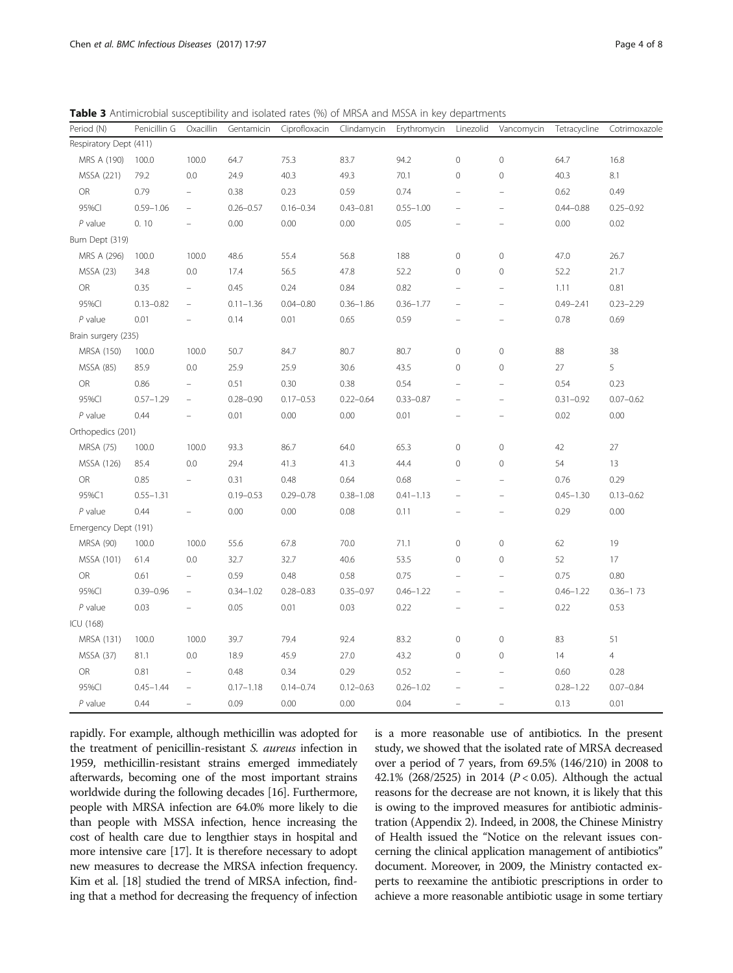<span id="page-3-0"></span>

| Table 3 Antimicrobial susceptibility and isolated rates (%) of MRSA and MSSA in key departments |  |  |  |  |
|-------------------------------------------------------------------------------------------------|--|--|--|--|
|-------------------------------------------------------------------------------------------------|--|--|--|--|

| Period (N)             | Penicillin G  | Oxacillin                | Gentamicin    | Ciprofloxacin | Clindamycin   | Erythromycin  | Linezolid                | Vancomycin                        | Tetracycline  | Cotrimoxazole  |
|------------------------|---------------|--------------------------|---------------|---------------|---------------|---------------|--------------------------|-----------------------------------|---------------|----------------|
| Respiratory Dept (411) |               |                          |               |               |               |               |                          |                                   |               |                |
| MRS A (190)            | 100.0         | 100.0                    | 64.7          | 75.3          | 83.7          | 94.2          | $\mathbf 0$              | $\circ$                           | 64.7          | 16.8           |
| MSSA (221)             | 79.2          | 0.0                      | 24.9          | 40.3          | 49.3          | 70.1          | $\mathbf 0$              | $\circ$                           | 40.3          | 8.1            |
| OR                     | 0.79          | $\overline{\phantom{a}}$ | 0.38          | 0.23          | 0.59          | 0.74          | $\overline{\phantom{m}}$ | $\overline{\phantom{0}}$          | 0.62          | 0.49           |
| 95%Cl                  | $0.59 - 1.06$ | $\overline{\phantom{a}}$ | $0.26 - 0.57$ | $0.16 - 0.34$ | $0.43 - 0.81$ | $0.55 - 1.00$ | $\equiv$                 |                                   | $0.44 - 0.88$ | $0.25 - 0.92$  |
| $P$ value              | 0.10          | $\overline{\phantom{0}}$ | 0.00          | 0.00          | 0.00          | 0.05          | i.                       | $\overline{\phantom{0}}$          | 0.00          | 0.02           |
| Bum Dept (319)         |               |                          |               |               |               |               |                          |                                   |               |                |
| MRS A (296)            | 100.0         | 100.0                    | 48.6          | 55.4          | 56.8          | 188           | $\mathbf 0$              | $\circ$                           | 47.0          | 26.7           |
| <b>MSSA (23)</b>       | 34.8          | 0.0                      | 17.4          | 56.5          | 47.8          | 52.2          | $\mathbb O$              | $\circ$                           | 52.2          | 21.7           |
| OR                     | 0.35          | $\overline{\phantom{a}}$ | 0.45          | 0.24          | 0.84          | 0.82          | $\equiv$                 | i.                                | 1.11          | 0.81           |
| 95%CI                  | $0.13 - 0.82$ | $\overline{\phantom{a}}$ | $0.11 - 1.36$ | $0.04 - 0.80$ | $0.36 - 1.86$ | $0.36 - 1.77$ | $\equiv$                 | ÷                                 | $0.49 - 2.41$ | $0.23 - 2.29$  |
| $P$ value              | 0.01          | ۳                        | 0.14          | 0.01          | 0.65          | 0.59          |                          | ۰                                 | 0.78          | 0.69           |
| Brain surgery (235)    |               |                          |               |               |               |               |                          |                                   |               |                |
| MRSA (150)             | 100.0         | 100.0                    | 50.7          | 84.7          | 80.7          | 80.7          | $\mathbf 0$              | $\circ$                           | 88            | 38             |
| <b>MSSA (85)</b>       | 85.9          | 0.0                      | 25.9          | 25.9          | 30.6          | 43.5          | $\mathbf 0$              | $\mathbf 0$                       | 27            | 5              |
| OR                     | 0.86          | $\overline{\phantom{0}}$ | 0.51          | 0.30          | 0.38          | 0.54          | $\overline{\phantom{m}}$ | i.                                | 0.54          | 0.23           |
| 95%CI                  | $0.57 - 1.29$ | $\overline{\phantom{a}}$ | $0.28 - 0.90$ | $0.17 - 0.53$ | $0.22 - 0.64$ | $0.33 - 0.87$ | i.                       | i.                                | $0.31 - 0.92$ | $0.07 - 0.62$  |
| $P$ value              | 0.44          | $\equiv$                 | 0.01          | 0.00          | 0.00          | 0.01          | $\overline{\phantom{0}}$ | $\overline{\phantom{a}}$          | 0.02          | 0.00           |
| Orthopedics (201)      |               |                          |               |               |               |               |                          |                                   |               |                |
| <b>MRSA (75)</b>       | 100.0         | 100.0                    | 93.3          | 86.7          | 64.0          | 65.3          | $\mathbf 0$              | $\mathbf 0$                       | 42            | 27             |
| MSSA (126)             | 85.4          | 0.0                      | 29.4          | 41.3          | 41.3          | 44.4          | $\mathbf 0$              | $\overline{0}$                    | 54            | 13             |
| <b>OR</b>              | 0.85          | $\overline{a}$           | 0.31          | 0.48          | 0.64          | 0.68          | L.                       | ÷                                 | 0.76          | 0.29           |
| 95%C1                  | $0.55 - 1.31$ |                          | $0.19 - 0.53$ | $0.29 - 0.78$ | $0.38 - 1.08$ | $0.41 - 1.13$ |                          | $\overline{\phantom{a}}$          | $0.45 - 1.30$ | $0.13 - 0.62$  |
| $P$ value              | 0.44          | $\overline{\phantom{0}}$ | 0.00          | 0.00          | 0.08          | 0.11          |                          |                                   | 0.29          | 0.00           |
| Emergency Dept (191)   |               |                          |               |               |               |               |                          |                                   |               |                |
| <b>MRSA (90)</b>       | 100.0         | 100.0                    | 55.6          | 67.8          | 70.0          | 71.1          | $\mathbf 0$              | $\circ$                           | 62            | 19             |
| MSSA (101)             | 61.4          | 0.0                      | 32.7          | 32.7          | 40.6          | 53.5          | $\mathbf 0$              | $\mathbf 0$                       | 52            | 17             |
| OR                     | 0.61          | $\overline{\phantom{a}}$ | 0.59          | 0.48          | 0.58          | 0.75          | $\overline{\phantom{m}}$ | $\hspace{1.0cm} - \hspace{1.0cm}$ | 0.75          | 0.80           |
| 95%Cl                  | $0.39 - 0.96$ | $\overline{\phantom{a}}$ | $0.34 - 1.02$ | $0.28 - 0.83$ | $0.35 - 0.97$ | $0.46 - 1.22$ | $\overline{\phantom{0}}$ | $\overline{\phantom{a}}$          | $0.46 - 1.22$ | $0.36 - 1.73$  |
| $P$ value              | 0.03          | $\overline{\phantom{0}}$ | 0.05          | 0.01          | 0.03          | 0.22          | $\overline{\phantom{m}}$ | $\overline{\phantom{0}}$          | 0.22          | 0.53           |
| ICU (168)              |               |                          |               |               |               |               |                          |                                   |               |                |
| MRSA (131)             | 100.0         | 100.0                    | 39.7          | 79.4          | 92.4          | 83.2          | $\overline{0}$           | $\mathbf 0$                       | 83            | 51             |
| <b>MSSA (37)</b>       | 81.1          | 0.0                      | 18.9          | 45.9          | 27.0          | 43.2          | $\mathbf 0$              | $\circ$                           | 14            | $\overline{4}$ |
| OR                     | 0.81          | $\overline{\phantom{0}}$ | 0.48          | 0.34          | 0.29          | 0.52          | $\qquad \qquad -$        | $\overline{\phantom{0}}$          | 0.60          | 0.28           |
| 95%CI                  | $0.45 - 1.44$ | $\overline{\phantom{m}}$ | $0.17 - 1.18$ | $0.14 - 0.74$ | $0.12 - 0.63$ | $0.26 - 1.02$ |                          |                                   | $0.28 - 1.22$ | $0.07 - 0.84$  |
| $P$ value              | 0.44          | $\overline{\phantom{0}}$ | 0.09          | 0.00          | 0.00          | 0.04          | $\equiv$                 | $\overline{\phantom{a}}$          | 0.13          | 0.01           |

rapidly. For example, although methicillin was adopted for the treatment of penicillin-resistant S. aureus infection in 1959, methicillin-resistant strains emerged immediately afterwards, becoming one of the most important strains worldwide during the following decades [[16](#page-7-0)]. Furthermore, people with MRSA infection are 64.0% more likely to die than people with MSSA infection, hence increasing the cost of health care due to lengthier stays in hospital and more intensive care [\[17\]](#page-7-0). It is therefore necessary to adopt new measures to decrease the MRSA infection frequency. Kim et al. [[18](#page-7-0)] studied the trend of MRSA infection, finding that a method for decreasing the frequency of infection is a more reasonable use of antibiotics. In the present study, we showed that the isolated rate of MRSA decreased over a period of 7 years, from 69.5% (146/210) in 2008 to 42.1% (268/2525) in 2014 (P < 0.05). Although the actual reasons for the decrease are not known, it is likely that this is owing to the improved measures for antibiotic administration (Appendix 2). Indeed, in 2008, the Chinese Ministry of Health issued the "Notice on the relevant issues concerning the clinical application management of antibiotics" document. Moreover, in 2009, the Ministry contacted experts to reexamine the antibiotic prescriptions in order to achieve a more reasonable antibiotic usage in some tertiary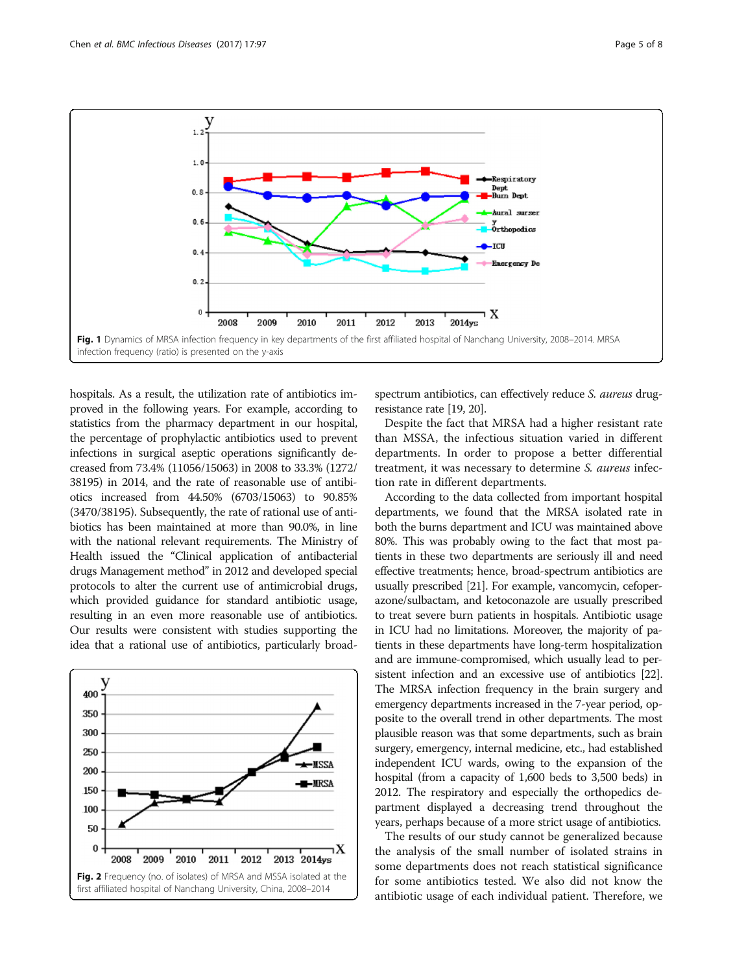<span id="page-4-0"></span>

hospitals. As a result, the utilization rate of antibiotics improved in the following years. For example, according to statistics from the pharmacy department in our hospital, the percentage of prophylactic antibiotics used to prevent infections in surgical aseptic operations significantly decreased from 73.4% (11056/15063) in 2008 to 33.3% (1272/ 38195) in 2014, and the rate of reasonable use of antibiotics increased from 44.50% (6703/15063) to 90.85% (3470/38195). Subsequently, the rate of rational use of antibiotics has been maintained at more than 90.0%, in line with the national relevant requirements. The Ministry of Health issued the "Clinical application of antibacterial drugs Management method" in 2012 and developed special protocols to alter the current use of antimicrobial drugs, which provided guidance for standard antibiotic usage, resulting in an even more reasonable use of antibiotics. Our results were consistent with studies supporting the idea that a rational use of antibiotics, particularly broad-



spectrum antibiotics, can effectively reduce S. aureus drugresistance rate [[19](#page-7-0), [20](#page-7-0)].

Despite the fact that MRSA had a higher resistant rate than MSSA, the infectious situation varied in different departments. In order to propose a better differential treatment, it was necessary to determine S. aureus infection rate in different departments.

According to the data collected from important hospital departments, we found that the MRSA isolated rate in both the burns department and ICU was maintained above 80%. This was probably owing to the fact that most patients in these two departments are seriously ill and need effective treatments; hence, broad-spectrum antibiotics are usually prescribed [\[21\]](#page-7-0). For example, vancomycin, cefoperazone/sulbactam, and ketoconazole are usually prescribed to treat severe burn patients in hospitals. Antibiotic usage in ICU had no limitations. Moreover, the majority of patients in these departments have long-term hospitalization and are immune-compromised, which usually lead to persistent infection and an excessive use of antibiotics [\[22](#page-7-0)]. The MRSA infection frequency in the brain surgery and emergency departments increased in the 7-year period, opposite to the overall trend in other departments. The most plausible reason was that some departments, such as brain surgery, emergency, internal medicine, etc., had established independent ICU wards, owing to the expansion of the hospital (from a capacity of 1,600 beds to 3,500 beds) in 2012. The respiratory and especially the orthopedics department displayed a decreasing trend throughout the years, perhaps because of a more strict usage of antibiotics.

The results of our study cannot be generalized because the analysis of the small number of isolated strains in some departments does not reach statistical significance for some antibiotics tested. We also did not know the antibiotic usage of each individual patient. Therefore, we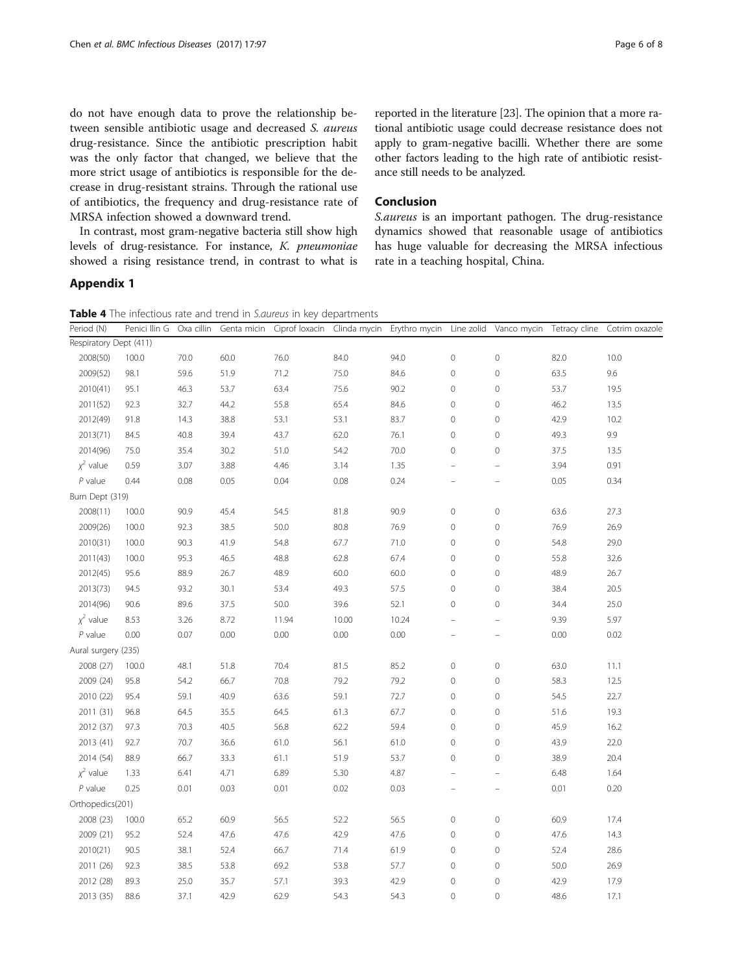do not have enough data to prove the relationship between sensible antibiotic usage and decreased S. aureus drug-resistance. Since the antibiotic prescription habit was the only factor that changed, we believe that the more strict usage of antibiotics is responsible for the decrease in drug-resistant strains. Through the rational use of antibiotics, the frequency and drug-resistance rate of MRSA infection showed a downward trend.

In contrast, most gram-negative bacteria still show high levels of drug-resistance. For instance, K. pneumoniae showed a rising resistance trend, in contrast to what is

### Appendix 1

reported in the literature [\[23\]](#page-7-0). The opinion that a more rational antibiotic usage could decrease resistance does not apply to gram-negative bacilli. Whether there are some other factors leading to the high rate of antibiotic resistance still needs to be analyzed.

### Conclusion

S.aureus is an important pathogen. The drug-resistance dynamics showed that reasonable usage of antibiotics has huge valuable for decreasing the MRSA infectious rate in a teaching hospital, China.

Table 4 The infectious rate and trend in S.aureus in key departments

| Period (N)             | Penici Ilin G |      |      |       |       | Oxa cillin Genta micin Ciprof loxacin Clinda mycin Erythro mycin Line zolid Vanco mycin Tetracy cline Cotrim oxazole |                |                     |      |      |
|------------------------|---------------|------|------|-------|-------|----------------------------------------------------------------------------------------------------------------------|----------------|---------------------|------|------|
| Respiratory Dept (411) |               |      |      |       |       |                                                                                                                      |                |                     |      |      |
| 2008(50)               | 100.0         | 70.0 | 60.0 | 76.0  | 84.0  | 94.0                                                                                                                 | $\mathbf 0$    | $\mathsf{O}\xspace$ | 82.0 | 10.0 |
| 2009(52)               | 98.1          | 59.6 | 51.9 | 71.2  | 75.0  | 84.6                                                                                                                 | $\mathbf 0$    | $\mathbf 0$         | 63.5 | 9.6  |
| 2010(41)               | 95.1          | 46.3 | 53.7 | 63.4  | 75.6  | 90.2                                                                                                                 | $\mathbf 0$    | $\mathbf 0$         | 53.7 | 19.5 |
| 2011(52)               | 92.3          | 32.7 | 44.2 | 55.8  | 65.4  | 84.6                                                                                                                 | $\mathbf 0$    | $\mathbf 0$         | 46.2 | 13.5 |
| 2012(49)               | 91.8          | 14.3 | 38.8 | 53.1  | 53.1  | 83.7                                                                                                                 | $\mathbf 0$    | $\mathsf{O}\xspace$ | 42.9 | 10.2 |
| 2013(71)               | 84.5          | 40.8 | 39.4 | 43.7  | 62.0  | 76.1                                                                                                                 | $\mathbf 0$    | $\mathbf 0$         | 49.3 | 9.9  |
| 2014(96)               | 75.0          | 35.4 | 30.2 | 51.0  | 54.2  | 70.0                                                                                                                 | $\mathbf 0$    | $\mathbf 0$         | 37.5 | 13.5 |
| $\chi^2$ value         | 0.59          | 3.07 | 3.88 | 4.46  | 3.14  | 1.35                                                                                                                 |                | ÷                   | 3.94 | 0.91 |
| $P$ value              | 0.44          | 0.08 | 0.05 | 0.04  | 0.08  | 0.24                                                                                                                 |                |                     | 0.05 | 0.34 |
| Burn Dept (319)        |               |      |      |       |       |                                                                                                                      |                |                     |      |      |
| 2008(11)               | 100.0         | 90.9 | 45.4 | 54.5  | 81.8  | 90.9                                                                                                                 | $\mathbf 0$    | $\mathsf{O}\xspace$ | 63.6 | 27.3 |
| 2009(26)               | 100.0         | 92.3 | 38.5 | 50.0  | 80.8  | 76.9                                                                                                                 | $\mathbf 0$    | $\mathbf 0$         | 76.9 | 26.9 |
| 2010(31)               | 100.0         | 90.3 | 41.9 | 54.8  | 67.7  | 71.0                                                                                                                 | $\mathbb O$    | $\mathsf{O}\xspace$ | 54.8 | 29.0 |
| 2011(43)               | 100.0         | 95.3 | 46.5 | 48.8  | 62.8  | 67.4                                                                                                                 | $\mathbf 0$    | $\mathbf 0$         | 55.8 | 32.6 |
| 2012(45)               | 95.6          | 88.9 | 26.7 | 48.9  | 60.0  | 60.0                                                                                                                 | $\mathbf 0$    | $\mathbf 0$         | 48.9 | 26.7 |
| 2013(73)               | 94.5          | 93.2 | 30.1 | 53.4  | 49.3  | 57.5                                                                                                                 | $\mathbf 0$    | $\mathsf{O}\xspace$ | 38.4 | 20.5 |
| 2014(96)               | 90.6          | 89.6 | 37.5 | 50.0  | 39.6  | 52.1                                                                                                                 | $\mathbf 0$    | $\mathbf 0$         | 34.4 | 25.0 |
| $\chi^2$ value         | 8.53          | 3.26 | 8.72 | 11.94 | 10.00 | 10.24                                                                                                                |                | ÷                   | 9.39 | 5.97 |
| $P$ value              | 0.00          | 0.07 | 0.00 | 0.00  | 0.00  | 0.00                                                                                                                 |                |                     | 0.00 | 0.02 |
| Aural surgery (235)    |               |      |      |       |       |                                                                                                                      |                |                     |      |      |
| 2008 (27)              | 100.0         | 48.1 | 51.8 | 70.4  | 81.5  | 85.2                                                                                                                 | $\mathbf 0$    | $\mathsf{O}\xspace$ | 63.0 | 11.1 |
| 2009 (24)              | 95.8          | 54.2 | 66.7 | 70.8  | 79.2  | 79.2                                                                                                                 | $\mathbf 0$    | $\mathbf 0$         | 58.3 | 12.5 |
| 2010 (22)              | 95.4          | 59.1 | 40.9 | 63.6  | 59.1  | 72.7                                                                                                                 | $\mathbf 0$    | $\mathbf 0$         | 54.5 | 22.7 |
| 2011 (31)              | 96.8          | 64.5 | 35.5 | 64.5  | 61.3  | 67.7                                                                                                                 | $\mathbf 0$    | $\mathbf 0$         | 51.6 | 19.3 |
| 2012 (37)              | 97.3          | 70.3 | 40.5 | 56.8  | 62.2  | 59.4                                                                                                                 | $\mathbf 0$    | 0                   | 45.9 | 16.2 |
| 2013 (41)              | 92.7          | 70.7 | 36.6 | 61.0  | 56.1  | 61.0                                                                                                                 | $\mathbf 0$    | $\mathsf{O}\xspace$ | 43.9 | 22.0 |
| 2014 (54)              | 88.9          | 66.7 | 33.3 | 61.1  | 51.9  | 53.7                                                                                                                 | $\mathbf 0$    | $\mathbf 0$         | 38.9 | 20.4 |
| $\chi^2$ value         | 1.33          | 6.41 | 4.71 | 6.89  | 5.30  | 4.87                                                                                                                 |                | ۳                   | 6.48 | 1.64 |
| $P$ value              | 0.25          | 0.01 | 0.03 | 0.01  | 0.02  | 0.03                                                                                                                 |                |                     | 0.01 | 0.20 |
| Orthopedics(201)       |               |      |      |       |       |                                                                                                                      |                |                     |      |      |
| 2008 (23)              | 100.0         | 65.2 | 60.9 | 56.5  | 52.2  | 56.5                                                                                                                 | $\mathbf 0$    | $\mathsf{O}\xspace$ | 60.9 | 17.4 |
| 2009 (21)              | 95.2          | 52.4 | 47.6 | 47.6  | 42.9  | 47.6                                                                                                                 | $\mathbb O$    | $\mathbf 0$         | 47.6 | 14.3 |
| 2010(21)               | 90.5          | 38.1 | 52.4 | 66.7  | 71.4  | 61.9                                                                                                                 | $\mathbf 0$    | $\mathbf 0$         | 52.4 | 28.6 |
| 2011 (26)              | 92.3          | 38.5 | 53.8 | 69.2  | 53.8  | 57.7                                                                                                                 | $\mathbf 0$    | $\mathsf{O}\xspace$ | 50.0 | 26.9 |
| 2012 (28)              | 89.3          | 25.0 | 35.7 | 57.1  | 39.3  | 42.9                                                                                                                 | $\mathbf 0$    | $\mathbf 0$         | 42.9 | 17.9 |
| 2013 (35)              | 88.6          | 37.1 | 42.9 | 62.9  | 54.3  | 54.3                                                                                                                 | $\overline{0}$ | $\mathbf 0$         | 48.6 | 17.1 |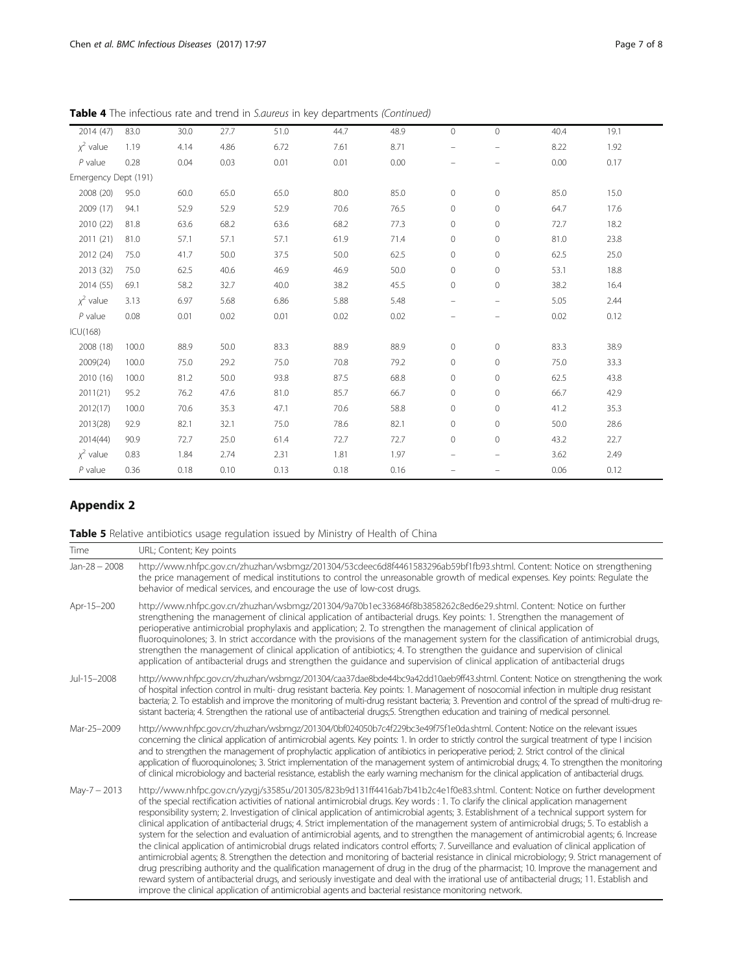| Table 4 The infectious rate and trend in S.aureus in key departments (Continued) |  |  |
|----------------------------------------------------------------------------------|--|--|
|----------------------------------------------------------------------------------|--|--|

| 2014 (47)            | 83.0  | 30.0 | 27.7 | 51.0 | 44.7 | 48.9 | $\circ$                  | $\mathbf 0$      | 40.4 | 19.1 |
|----------------------|-------|------|------|------|------|------|--------------------------|------------------|------|------|
| $x^2$ value          | 1.19  | 4.14 | 4.86 | 6.72 | 7.61 | 8.71 | -                        | -                | 8.22 | 1.92 |
| $P$ value            | 0.28  | 0.04 | 0.03 | 0.01 | 0.01 | 0.00 | $\overline{\phantom{0}}$ |                  | 0.00 | 0.17 |
| Emergency Dept (191) |       |      |      |      |      |      |                          |                  |      |      |
| 2008 (20)            | 95.0  | 60.0 | 65.0 | 65.0 | 80.0 | 85.0 | $\mathbf{0}$             | $\mathbf{0}$     | 85.0 | 15.0 |
| 2009 (17)            | 94.1  | 52.9 | 52.9 | 52.9 | 70.6 | 76.5 | $\circ$                  | 0                | 64.7 | 17.6 |
| 2010 (22)            | 81.8  | 63.6 | 68.2 | 63.6 | 68.2 | 77.3 | $\circ$                  | 0                | 72.7 | 18.2 |
| 2011 (21)            | 81.0  | 57.1 | 57.1 | 57.1 | 61.9 | 71.4 | $\mathbf 0$              | $\boldsymbol{0}$ | 81.0 | 23.8 |
| 2012 (24)            | 75.0  | 41.7 | 50.0 | 37.5 | 50.0 | 62.5 | $\circ$                  | 0                | 62.5 | 25.0 |
| 2013 (32)            | 75.0  | 62.5 | 40.6 | 46.9 | 46.9 | 50.0 | $\circ$                  | $\circ$          | 53.1 | 18.8 |
| 2014 (55)            | 69.1  | 58.2 | 32.7 | 40.0 | 38.2 | 45.5 | $\circ$                  | $\mathbf 0$      | 38.2 | 16.4 |
| $\chi^2$ value       | 3.13  | 6.97 | 5.68 | 6.86 | 5.88 | 5.48 | $\overline{\phantom{0}}$ | -                | 5.05 | 2.44 |
| $P$ value            | 0.08  | 0.01 | 0.02 | 0.01 | 0.02 | 0.02 |                          |                  | 0.02 | 0.12 |
| ICU(168)             |       |      |      |      |      |      |                          |                  |      |      |
| 2008 (18)            | 100.0 | 88.9 | 50.0 | 83.3 | 88.9 | 88.9 | $\circ$                  | $\circ$          | 83.3 | 38.9 |
| 2009(24)             | 100.0 | 75.0 | 29.2 | 75.0 | 70.8 | 79.2 | $\circ$                  | 0                | 75.0 | 33.3 |
| 2010 (16)            | 100.0 | 81.2 | 50.0 | 93.8 | 87.5 | 68.8 | $\circ$                  | $\boldsymbol{0}$ | 62.5 | 43.8 |
| 2011(21)             | 95.2  | 76.2 | 47.6 | 81.0 | 85.7 | 66.7 | $\circ$                  | $\circ$          | 66.7 | 42.9 |
| 2012(17)             | 100.0 | 70.6 | 35.3 | 47.1 | 70.6 | 58.8 | $\circ$                  | $\boldsymbol{0}$ | 41.2 | 35.3 |
| 2013(28)             | 92.9  | 82.1 | 32.1 | 75.0 | 78.6 | 82.1 | $\circ$                  | 0                | 50.0 | 28.6 |
| 2014(44)             | 90.9  | 72.7 | 25.0 | 61.4 | 72.7 | 72.7 | $\circ$                  | $\boldsymbol{0}$ | 43.2 | 22.7 |
| $\chi^2$ value       | 0.83  | 1.84 | 2.74 | 2.31 | 1.81 | 1.97 | $\overline{\phantom{0}}$ |                  | 3.62 | 2.49 |
| $P$ value            | 0.36  | 0.18 | 0.10 | 0.13 | 0.18 | 0.16 | $\overline{\phantom{0}}$ |                  | 0.06 | 0.12 |

# Appendix 2

Table 5 Relative antibiotics usage regulation issued by Ministry of Health of China

| Time            | URL; Content; Key points                                                                                                                                                                                                                                                                                                                                                                                                                                                                                                                                                                                                                                                                                                                                                                                                                                                                                                                                                                                                                                                                                                                                                                                                                                                                                                                                                                            |
|-----------------|-----------------------------------------------------------------------------------------------------------------------------------------------------------------------------------------------------------------------------------------------------------------------------------------------------------------------------------------------------------------------------------------------------------------------------------------------------------------------------------------------------------------------------------------------------------------------------------------------------------------------------------------------------------------------------------------------------------------------------------------------------------------------------------------------------------------------------------------------------------------------------------------------------------------------------------------------------------------------------------------------------------------------------------------------------------------------------------------------------------------------------------------------------------------------------------------------------------------------------------------------------------------------------------------------------------------------------------------------------------------------------------------------------|
| $Jan-28 - 2008$ | http://www.nhfpc.gov.cn/zhuzhan/wsbmgz/201304/53cdeec6d8f4461583296ab59bf1fb93.shtml. Content: Notice on strengthening<br>the price management of medical institutions to control the unreasonable growth of medical expenses. Key points: Regulate the<br>behavior of medical services, and encourage the use of low-cost drugs.                                                                                                                                                                                                                                                                                                                                                                                                                                                                                                                                                                                                                                                                                                                                                                                                                                                                                                                                                                                                                                                                   |
| Apr-15-200      | http://www.nhfpc.qov.cn/zhuzhan/wsbmqz/201304/9a70b1ec336846f8b3858262c8ed6e29.shtml. Content: Notice on further<br>strengthening the management of clinical application of antibacterial drugs. Key points: 1. Strengthen the management of<br>perioperative antimicrobial prophylaxis and application; 2. To strengthen the management of clinical application of<br>fluoroquinolones; 3. In strict accordance with the provisions of the management system for the classification of antimicrobial drugs,<br>strengthen the management of clinical application of antibiotics; 4. To strengthen the guidance and supervision of clinical<br>application of antibacterial drugs and strengthen the quidance and supervision of clinical application of antibacterial drugs                                                                                                                                                                                                                                                                                                                                                                                                                                                                                                                                                                                                                        |
| Jul-15-2008     | http://www.nhfpc.gov.cn/zhuzhan/wsbmqz/201304/caa37dae8bde44bc9a42dd10aeb9ff43.shtml. Content: Notice on strengthening the work<br>of hospital infection control in multi-drug resistant bacteria. Key points: 1. Management of nosocomial infection in multiple drug resistant<br>bacteria; 2. To establish and improve the monitoring of multi-drug resistant bacteria; 3. Prevention and control of the spread of multi-drug re-<br>sistant bacteria; 4. Strengthen the rational use of antibacterial drugs; 5. Strengthen education and training of medical personnel.                                                                                                                                                                                                                                                                                                                                                                                                                                                                                                                                                                                                                                                                                                                                                                                                                          |
| Mar-25-2009     | http://www.nhfpc.gov.cn/zhuzhan/wsbmqz/201304/0bf024050b7c4f229bc3e49f75f1e0da.shtml. Content: Notice on the relevant issues<br>concerning the clinical application of antimicrobial agents. Key points: 1. In order to strictly control the surgical treatment of type I incision<br>and to strengthen the management of prophylactic application of antibiotics in perioperative period; 2. Strict control of the clinical<br>application of fluoroquinolones; 3. Strict implementation of the management system of antimicrobial drugs; 4. To strengthen the monitoring<br>of clinical microbiology and bacterial resistance, establish the early warning mechanism for the clinical application of antibacterial drugs.                                                                                                                                                                                                                                                                                                                                                                                                                                                                                                                                                                                                                                                                         |
| $May-7 - 2013$  | http://www.nhfpc.gov.cn/yzyqj/s3585u/201305/823b9d131ff4416ab7b41b2c4e1f0e83.shtml. Content: Notice on further development<br>of the special rectification activities of national antimicrobial drugs. Key words: 1. To clarify the clinical application management<br>responsibility system; 2. Investigation of clinical application of antimicrobial agents; 3. Establishment of a technical support system for<br>clinical application of antibacterial drugs; 4. Strict implementation of the management system of antimicrobial drugs; 5. To establish a<br>system for the selection and evaluation of antimicrobial agents, and to strengthen the management of antimicrobial agents; 6. Increase<br>the clinical application of antimicrobial drugs related indicators control efforts; 7. Surveillance and evaluation of clinical application of<br>antimicrobial agents; 8. Strengthen the detection and monitoring of bacterial resistance in clinical microbiology; 9. Strict management of<br>drug prescribing authority and the qualification management of drug in the drug of the pharmacist; 10. Improve the management and<br>reward system of antibacterial drugs, and seriously investigate and deal with the irrational use of antibacterial drugs; 11. Establish and<br>improve the clinical application of antimicrobial agents and bacterial resistance monitoring network. |